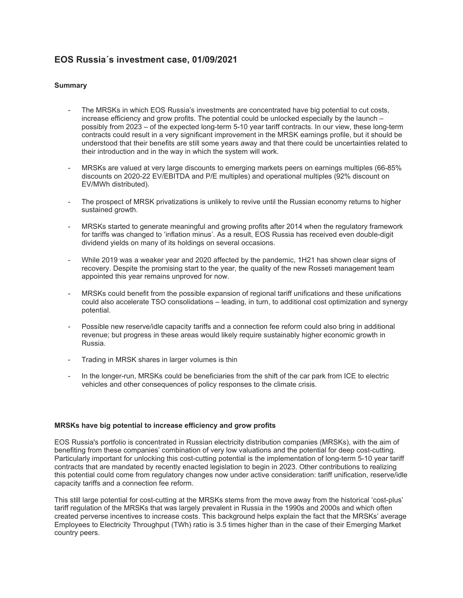# **EOS Russia´s investment case, 01/09/2021**

# **Summary**

- The MRSKs in which EOS Russia's investments are concentrated have big potential to cut costs, increase efficiency and grow profits. The potential could be unlocked especially by the launch – possibly from 2023 – of the expected long-term 5-10 year tariff contracts. In our view, these long-term contracts could result in a very significant improvement in the MRSK earnings profile, but it should be understood that their benefits are still some years away and that there could be uncertainties related to their introduction and in the way in which the system will work.
- MRSKs are valued at very large discounts to emerging markets peers on earnings multiples (66-85%) discounts on 2020-22 EV/EBITDA and P/E multiples) and operational multiples (92% discount on EV/MWh distributed).
- The prospect of MRSK privatizations is unlikely to revive until the Russian economy returns to higher sustained growth.
- MRSKs started to generate meaningful and growing profits after 2014 when the regulatory framework for tariffs was changed to 'inflation minus'. As a result, EOS Russia has received even double-digit dividend yields on many of its holdings on several occasions.
- While 2019 was a weaker year and 2020 affected by the pandemic, 1H21 has shown clear signs of recovery. Despite the promising start to the year, the quality of the new Rosseti management team appointed this year remains unproved for now.
- MRSKs could benefit from the possible expansion of regional tariff unifications and these unifications could also accelerate TSO consolidations – leading, in turn, to additional cost optimization and synergy potential.
- Possible new reserve/idle capacity tariffs and a connection fee reform could also bring in additional revenue; but progress in these areas would likely require sustainably higher economic growth in Russia.
- Trading in MRSK shares in larger volumes is thin
- In the longer-run, MRSKs could be beneficiaries from the shift of the car park from ICE to electric vehicles and other consequences of policy responses to the climate crisis.

#### **MRSKs have big potential to increase efficiency and grow profits**

EOS Russia's portfolio is concentrated in Russian electricity distribution companies (MRSKs), with the aim of benefiting from these companies' combination of very low valuations and the potential for deep cost-cutting. Particularly important for unlocking this cost-cutting potential is the implementation of long-term 5-10 year tariff contracts that are mandated by recently enacted legislation to begin in 2023. Other contributions to realizing this potential could come from regulatory changes now under active consideration: tariff unification, reserve/idle capacity tariffs and a connection fee reform.

This still large potential for cost-cutting at the MRSKs stems from the move away from the historical 'cost-plus' tariff regulation of the MRSKs that was largely prevalent in Russia in the 1990s and 2000s and which often created perverse incentives to increase costs. This background helps explain the fact that the MRSKs' average Employees to Electricity Throughput (TWh) ratio is 3.5 times higher than in the case of their Emerging Market country peers.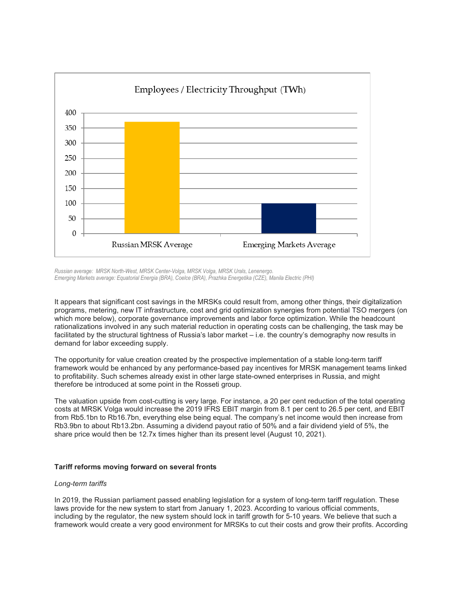

*Russian average: MRSK North-West, MRSK Center-Volga, MRSK Volga, MRSK Urals, Lenenergo. Emerging Markets average: Equatorial Energia (BRA), Coelce (BRA), Prazhka Energetika (CZE), Manila Electric (PHI)*

It appears that significant cost savings in the MRSKs could result from, among other things, their digitalization programs, metering, new IT infrastructure, cost and grid optimization synergies from potential TSO mergers (on which more below), corporate governance improvements and labor force optimization. While the headcount rationalizations involved in any such material reduction in operating costs can be challenging, the task may be facilitated by the structural tightness of Russia's labor market – i.e. the country's demography now results in demand for labor exceeding supply.

The opportunity for value creation created by the prospective implementation of a stable long-term tariff framework would be enhanced by any performance-based pay incentives for MRSK management teams linked to profitability. Such schemes already exist in other large state-owned enterprises in Russia, and might therefore be introduced at some point in the Rosseti group.

The valuation upside from cost-cutting is very large. For instance, a 20 per cent reduction of the total operating costs at MRSK Volga would increase the 2019 IFRS EBIT margin from 8.1 per cent to 26.5 per cent, and EBIT from Rb5.1bn to Rb16.7bn, everything else being equal. The company's net income would then increase from Rb3.9bn to about Rb13.2bn. Assuming a dividend payout ratio of 50% and a fair dividend yield of 5%, the share price would then be 12.7x times higher than its present level (August 10, 2021).

# **Tariff reforms moving forward on several fronts**

#### *Long-term tariffs*

In 2019, the Russian parliament passed enabling legislation for a system of long-term tariff regulation. These laws provide for the new system to start from January 1, 2023. According to various official comments, including by the regulator, the new system should lock in tariff growth for 5-10 years. We believe that such a framework would create a very good environment for MRSKs to cut their costs and grow their profits. According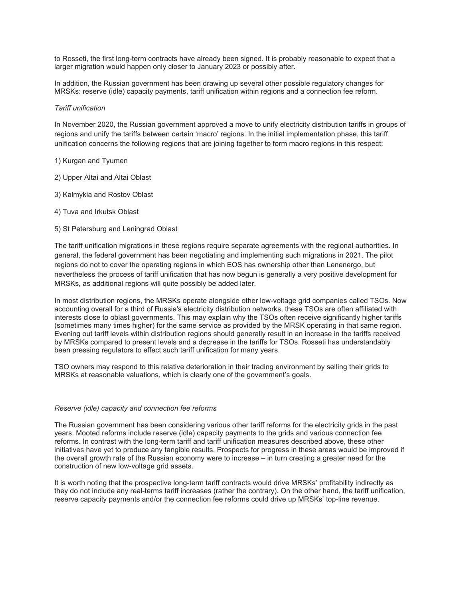to Rosseti, the first long-term contracts have already been signed. It is probably reasonable to expect that a larger migration would happen only closer to January 2023 or possibly after.

In addition, the Russian government has been drawing up several other possible regulatory changes for MRSKs: reserve (idle) capacity payments, tariff unification within regions and a connection fee reform.

#### *Tariff unification*

In November 2020, the Russian government approved a move to unify electricity distribution tariffs in groups of regions and unify the tariffs between certain 'macro' regions. In the initial implementation phase, this tariff unification concerns the following regions that are joining together to form macro regions in this respect:

## 1) Kurgan and Tyumen

- 2) Upper Altai and Altai Oblast
- 3) Kalmykia and Rostov Oblast
- 4) Tuva and Irkutsk Oblast
- 5) St Petersburg and Leningrad Oblast

The tariff unification migrations in these regions require separate agreements with the regional authorities. In general, the federal government has been negotiating and implementing such migrations in 2021. The pilot regions do not to cover the operating regions in which EOS has ownership other than Lenenergo, but nevertheless the process of tariff unification that has now begun is generally a very positive development for MRSKs, as additional regions will quite possibly be added later.

In most distribution regions, the MRSKs operate alongside other low-voltage grid companies called TSOs. Now accounting overall for a third of Russia's electricity distribution networks, these TSOs are often affiliated with interests close to oblast governments. This may explain why the TSOs often receive significantly higher tariffs (sometimes many times higher) for the same service as provided by the MRSK operating in that same region. Evening out tariff levels within distribution regions should generally result in an increase in the tariffs received by MRSKs compared to present levels and a decrease in the tariffs for TSOs. Rosseti has understandably been pressing regulators to effect such tariff unification for many years.

TSO owners may respond to this relative deterioration in their trading environment by selling their grids to MRSKs at reasonable valuations, which is clearly one of the government's goals.

#### *Reserve (idle) capacity and connection fee reforms*

The Russian government has been considering various other tariff reforms for the electricity grids in the past years. Mooted reforms include reserve (idle) capacity payments to the grids and various connection fee reforms. In contrast with the long-term tariff and tariff unification measures described above, these other initiatives have yet to produce any tangible results. Prospects for progress in these areas would be improved if the overall growth rate of the Russian economy were to increase – in turn creating a greater need for the construction of new low-voltage grid assets.

It is worth noting that the prospective long-term tariff contracts would drive MRSKs' profitability indirectly as they do not include any real-terms tariff increases (rather the contrary). On the other hand, the tariff unification, reserve capacity payments and/or the connection fee reforms could drive up MRSKs' top-line revenue.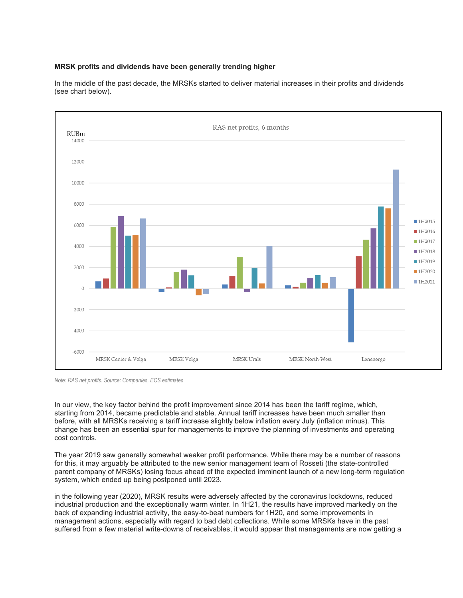# **MRSK profits and dividends have been generally trending higher**



In the middle of the past decade, the MRSKs started to deliver material increases in their profits and dividends (see chart below).

*Note: RAS net profits. Source: Companies, EOS estimates*

In our view, the key factor behind the profit improvement since 2014 has been the tariff regime, which, starting from 2014, became predictable and stable. Annual tariff increases have been much smaller than before, with all MRSKs receiving a tariff increase slightly below inflation every July (inflation minus). This change has been an essential spur for managements to improve the planning of investments and operating cost controls.

The year 2019 saw generally somewhat weaker profit performance. While there may be a number of reasons for this, it may arguably be attributed to the new senior management team of Rosseti (the state-controlled parent company of MRSKs) losing focus ahead of the expected imminent launch of a new long-term regulation system, which ended up being postponed until 2023.

in the following year (2020), MRSK results were adversely affected by the coronavirus lockdowns, reduced industrial production and the exceptionally warm winter. In 1H21, the results have improved markedly on the back of expanding industrial activity, the easy-to-beat numbers for 1H20, and some improvements in management actions, especially with regard to bad debt collections. While some MRSKs have in the past suffered from a few material write-downs of receivables, it would appear that managements are now getting a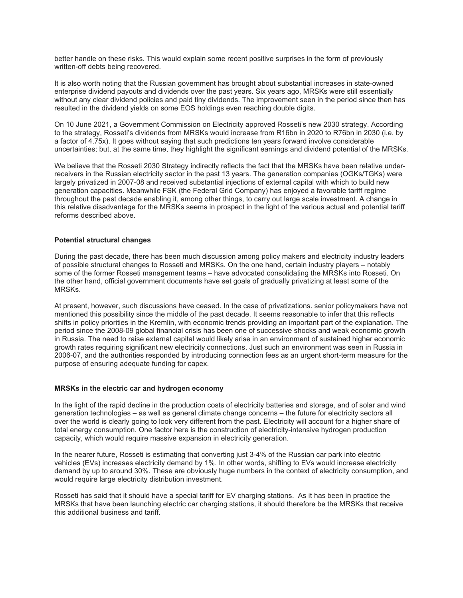better handle on these risks. This would explain some recent positive surprises in the form of previously written-off debts being recovered.

It is also worth noting that the Russian government has brought about substantial increases in state-owned enterprise dividend payouts and dividends over the past years. Six years ago, MRSKs were still essentially without any clear dividend policies and paid tiny dividends. The improvement seen in the period since then has resulted in the dividend yields on some EOS holdings even reaching double digits.

On 10 June 2021, a Government Commission on Electricity approved Rosseti's new 2030 strategy. According to the strategy, Rosseti's dividends from MRSKs would increase from R16bn in 2020 to R76bn in 2030 (i.e. by a factor of 4.75x). It goes without saying that such predictions ten years forward involve considerable uncertainties; but, at the same time, they highlight the significant earnings and dividend potential of the MRSKs.

We believe that the Rosseti 2030 Strategy indirectly reflects the fact that the MRSKs have been relative underreceivers in the Russian electricity sector in the past 13 years. The generation companies (OGKs/TGKs) were largely privatized in 2007-08 and received substantial injections of external capital with which to build new generation capacities. Meanwhile FSK (the Federal Grid Company) has enjoyed a favorable tariff regime throughout the past decade enabling it, among other things, to carry out large scale investment. A change in this relative disadvantage for the MRSKs seems in prospect in the light of the various actual and potential tariff reforms described above.

#### **Potential structural changes**

During the past decade, there has been much discussion among policy makers and electricity industry leaders of possible structural changes to Rosseti and MRSKs. On the one hand, certain industry players – notably some of the former Rosseti management teams – have advocated consolidating the MRSKs into Rosseti. On the other hand, official government documents have set goals of gradually privatizing at least some of the MRSKs.

At present, however, such discussions have ceased. In the case of privatizations. senior policymakers have not mentioned this possibility since the middle of the past decade. It seems reasonable to infer that this reflects shifts in policy priorities in the Kremlin, with economic trends providing an important part of the explanation. The period since the 2008-09 global financial crisis has been one of successive shocks and weak economic growth in Russia. The need to raise external capital would likely arise in an environment of sustained higher economic growth rates requiring significant new electricity connections. Just such an environment was seen in Russia in 2006-07, and the authorities responded by introducing connection fees as an urgent short-term measure for the purpose of ensuring adequate funding for capex.

#### **MRSKs in the electric car and hydrogen economy**

In the light of the rapid decline in the production costs of electricity batteries and storage, and of solar and wind generation technologies – as well as general climate change concerns – the future for electricity sectors all over the world is clearly going to look very different from the past. Electricity will account for a higher share of total energy consumption. One factor here is the construction of electricity-intensive hydrogen production capacity, which would require massive expansion in electricity generation.

In the nearer future, Rosseti is estimating that converting just 3-4% of the Russian car park into electric vehicles (EVs) increases electricity demand by 1%. In other words, shifting to EVs would increase electricity demand by up to around 30%. These are obviously huge numbers in the context of electricity consumption, and would require large electricity distribution investment.

Rosseti has said that it should have a special tariff for EV charging stations. As it has been in practice the MRSKs that have been launching electric car charging stations, it should therefore be the MRSKs that receive this additional business and tariff.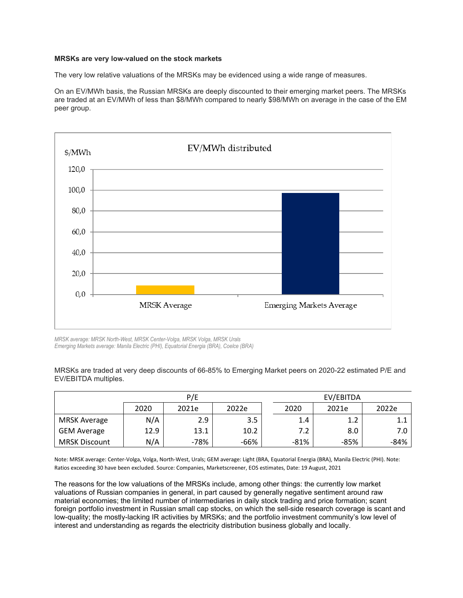### **MRSKs are very low-valued on the stock markets**

The very low relative valuations of the MRSKs may be evidenced using a wide range of measures.

On an EV/MWh basis, the Russian MRSKs are deeply discounted to their emerging market peers. The MRSKs are traded at an EV/MWh of less than \$8/MWh compared to nearly \$98/MWh on average in the case of the EM peer group.



*MRSK average: MRSK North-West, MRSK Center-Volga, MRSK Volga, MRSK Urals Emerging Markets average: Manila Electric (PHI), Equatorial Energia (BRA), Coelce (BRA)*

MRSKs are traded at very deep discounts of 66-85% to Emerging Market peers on 2020-22 estimated P/E and EV/EBITDA multiples.

|                      | P/E  |       |       | EV/EBITDA |        |       |        |
|----------------------|------|-------|-------|-----------|--------|-------|--------|
|                      | 2020 | 2021e | 2022e |           | 2020   | 2021e | 2022e  |
| MRSK Average         | N/A  | 2.9   | 3.5   |           | 1.4    | 1.2   | 1.1    |
| <b>GEM Average</b>   | 12.9 | 13.1  | 10.2  |           | 7.2    | 8.0   | 7.0    |
| <b>MRSK Discount</b> | N/A  | -78%  | -66%  |           | $-81%$ | -85%  | $-84%$ |

Note: MRSK average: Center-Volga, Volga, North-West, Urals; GEM average: Light (BRA, Equatorial Energia (BRA), Manila Electric (PHI). Note: Ratios exceeding 30 have been excluded. Source: Companies, Marketscreener, EOS estimates, Date: 19 August, 2021

The reasons for the low valuations of the MRSKs include, among other things: the currently low market valuations of Russian companies in general, in part caused by generally negative sentiment around raw material economies; the limited number of intermediaries in daily stock trading and price formation; scant foreign portfolio investment in Russian small cap stocks, on which the sell-side research coverage is scant and low-quality; the mostly-lacking IR activities by MRSKs; and the portfolio investment community's low level of interest and understanding as regards the electricity distribution business globally and locally.